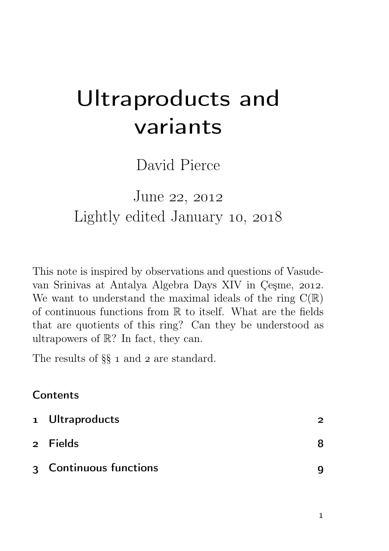# Ultraproducts and variants

David Pierce

# June 22, 2012 Lightly edited January 10, 2018

This note is inspired by observations and questions of Vasudevan Srinivas at Antalya Algebra Days XIV in Çeşme, 2012. We want to understand the maximal ideals of the ring  $C(\mathbb{R})$ of continuous functions from R to itself. What are the fields that are quotients of this ring? Can they be understood as ultrapowers of R? In fact, they can.

The results of  $\S\S$  1 and 2 are standard.

## **Contents**

| 1 Ultraproducts        |  |
|------------------------|--|
| 2 Fields               |  |
| 3 Continuous functions |  |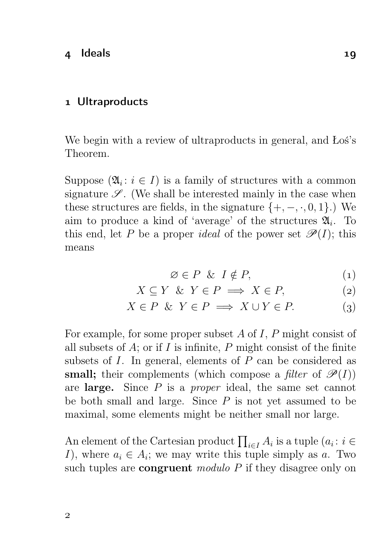#### 1 Ultraproducts

We begin with a review of ultraproducts in general, and Łoś's Theorem.

Suppose  $(\mathfrak{A}_i : i \in I)$  is a family of structures with a common signature  $\mathscr{S}$ . (We shall be interested mainly in the case when these structures are fields, in the signature  $\{+,-,\cdot,0,1\}$ .) We aim to produce a kind of 'average' of the structures  $\mathfrak{A}_i$ . To this end, let P be a proper *ideal* of the power set  $\mathscr{P}(I)$ ; this means

$$
\varnothing \in P \And I \notin P,\tag{1}
$$

$$
X \subseteq Y \& Y \in P \implies X \in P,\tag{2}
$$

$$
X \in P \& Y \in P \implies X \cup Y \in P. \tag{3}
$$

For example, for some proper subset  $A$  of  $I$ ,  $P$  might consist of all subsets of  $A$ ; or if  $I$  is infinite,  $P$  might consist of the finite subsets of  $I$ . In general, elements of  $P$  can be considered as small; their complements (which compose a *filter* of  $\mathcal{P}(I)$ ) are large. Since  $P$  is a *proper* ideal, the same set cannot be both small and large. Since  $P$  is not yet assumed to be maximal, some elements might be neither small nor large.

An element of the Cartesian product  $\prod_{i\in I} A_i$  is a tuple  $(a_i : i \in$ *I*), where  $a_i \in A_i$ ; we may write this tuple simply as a. Two such tuples are **congruent** modulo  $P$  if they disagree only on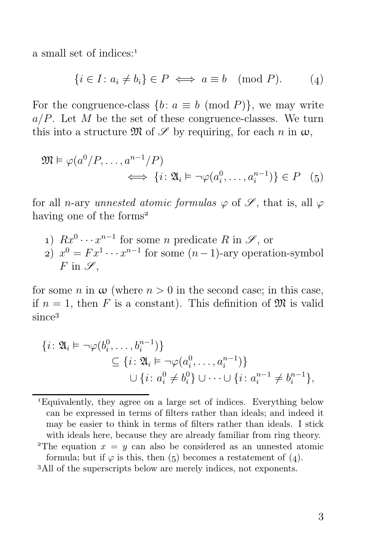a small set of indices:

$$
\{i \in I : a_i \neq b_i\} \in P \iff a \equiv b \pmod{P}.
$$
 (4)

For the congruence-class  $\{b : a \equiv b \pmod{P}\}$ , we may write  $a/P$ . Let M be the set of these congruence-classes. We turn this into a structure  $\mathfrak{M}$  of  $\mathscr S$  by requiring, for each n in  $\omega$ ,

$$
\mathfrak{M} \models \varphi(a^0/P, \dots, a^{n-1}/P) \iff \{i \colon \mathfrak{A}_i \models \neg \varphi(a_i^0, \dots, a_i^{n-1})\} \in P \quad (5)
$$

for all n-ary unnested atomic formulas  $\varphi$  of  $\mathscr{S}$ , that is, all  $\varphi$ having one of the forms<sup>2</sup>

1)  $Rx^0 \cdots x^{n-1}$  for some *n* predicate R in  $\mathscr{S}$ , or 2)  $x^0 = Fx^1 \cdots x^{n-1}$  for some  $(n-1)$ -ary operation-symbol  $F$  in  $\mathscr{S}$ .

for some n in  $\omega$  (where  $n > 0$  in the second case; in this case, if  $n = 1$ , then F is a constant). This definition of  $\mathfrak{M}$  is valid since<sup>3</sup>

$$
\{i: \mathfrak{A}_{i} \vDash \neg \varphi(b_{i}^{0}, \ldots, b_{i}^{n-1})\} \subseteq \{i: \mathfrak{A}_{i} \vDash \neg \varphi(a_{i}^{0}, \ldots, a_{i}^{n-1})\} \cup \{i: a_{i}^{0} \neq b_{i}^{0}\} \cup \cdots \cup \{i: a_{i}^{n-1} \neq b_{i}^{n-1}\},
$$

Equivalently, they agree on a large set of indices. Everything below can be expressed in terms of filters rather than ideals; and indeed it may be easier to think in terms of filters rather than ideals. I stick with ideals here, because they are already familiar from ring theory.

<sup>&</sup>lt;sup>2</sup>The equation  $x = y$  can also be considered as an unnested atomic formula; but if  $\varphi$  is this, then (5) becomes a restatement of (4).

All of the superscripts below are merely indices, not exponents.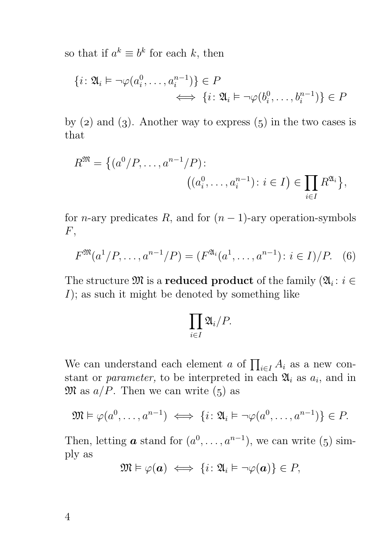so that if  $a^k \equiv b^k$  for each k, then

$$
\{i: \mathfrak{A}_i \vDash \neg \varphi(a_i^0, \dots, a_i^{n-1})\} \in P
$$
  

$$
\iff \{i: \mathfrak{A}_i \vDash \neg \varphi(b_i^0, \dots, b_i^{n-1})\} \in P
$$

by  $(2)$  and  $(3)$ . Another way to express  $(5)$  in the two cases is that

$$
R^{\mathfrak{M}} = \{ (a^{0}/P, \ldots, a^{n-1}/P) : (a_i^{0}, \ldots, a_i^{n-1}) : i \in I) \in \prod_{i \in I} R^{\mathfrak{A}_i} \},
$$

for *n*-ary predicates R, and for  $(n - 1)$ -ary operation-symbols  $F,$ 

$$
F^{\mathfrak{M}}(a^1/P, \dots, a^{n-1}/P) = (F^{\mathfrak{A}_i}(a^1, \dots, a^{n-1}) : i \in I)/P. \quad (6)
$$

The structure  $\mathfrak{M}$  is a **reduced product** of the family  $(\mathfrak{A}_i : i \in$  $I$ ); as such it might be denoted by something like

$$
\prod_{i\in I}\mathfrak{A}_i/P.
$$

We can understand each element a of  $\prod_{i\in I} A_i$  as a new constant or *parameter*, to be interpreted in each  $\mathfrak{A}_i$  as  $a_i$ , and in  $\mathfrak{M}$  as  $a/P$ . Then we can write (5) as

$$
\mathfrak{M} \vDash \varphi(a^0, \dots, a^{n-1}) \iff \{i \colon \mathfrak{A}_i \vDash \neg \varphi(a^0, \dots, a^{n-1})\} \in P.
$$

Then, letting **a** stand for  $(a^0, \ldots, a^{n-1})$ , we can write (5) simply as

$$
\mathfrak{M} \vDash \varphi(\mathbf{a}) \iff \{i \colon \mathfrak{A}_i \vDash \neg \varphi(\mathbf{a})\} \in P,
$$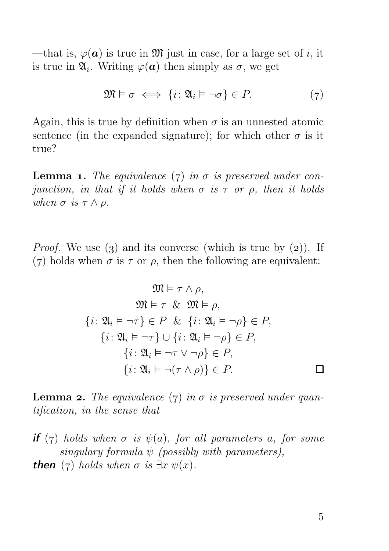—that is,  $\varphi(\mathbf{a})$  is true in M just in case, for a large set of i, it is true in  $\mathfrak{A}_i$ . Writing  $\varphi(\mathbf{a})$  then simply as  $\sigma$ , we get

$$
\mathfrak{M} \models \sigma \iff \{i \colon \mathfrak{A}_i \models \neg \sigma\} \in P. \tag{7}
$$

Again, this is true by definition when  $\sigma$  is an unnested atomic sentence (in the expanded signature); for which other  $\sigma$  is it true?

**Lemma 1.** The equivalence (7) in  $\sigma$  is preserved under conjunction, in that if it holds when  $\sigma$  is  $\tau$  or  $\rho$ , then it holds when  $\sigma$  is  $\tau \wedge \rho$ .

*Proof.* We use (3) and its converse (which is true by  $(2)$ ). If (7) holds when  $\sigma$  is  $\tau$  or  $\rho$ , then the following are equivalent:

$$
\mathfrak{M} \models \tau \wedge \rho,
$$
  
\n
$$
\mathfrak{M} \models \tau \& \mathfrak{M} \models \rho,
$$
  
\n
$$
\{i : \mathfrak{A}_i \models \neg \tau\} \in P \& \{i : \mathfrak{A}_i \models \neg \rho\} \in P,
$$
  
\n
$$
\{i : \mathfrak{A}_i \models \neg \tau\} \cup \{i : \mathfrak{A}_i \models \neg \rho\} \in P,
$$
  
\n
$$
\{i : \mathfrak{A}_i \models \neg \tau \vee \neg \rho\} \in P,
$$
  
\n
$$
\{i : \mathfrak{A}_i \models \neg (\tau \wedge \rho)\} \in P.
$$

**Lemma 2.** The equivalence (7) in  $\sigma$  is preserved under quantification, in the sense that

**if** (7) holds when  $\sigma$  is  $\psi(a)$ , for all parameters a, for some singulary formula  $\psi$  (possibly with parameters), **then** (7) holds when  $\sigma$  is  $\exists x \psi(x)$ .

 $\Box$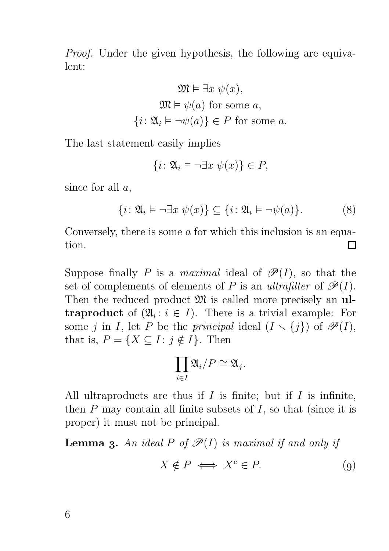Proof. Under the given hypothesis, the following are equivalent:

$$
\mathfrak{M} \vDash \exists x \ \psi(x),
$$

$$
\mathfrak{M} \vDash \psi(a) \text{ for some } a,
$$

$$
\{i: \mathfrak{A}_i \vDash \neg \psi(a)\} \in P \text{ for some } a.
$$

The last statement easily implies

$$
\{i \colon \mathfrak{A}_i \models \neg \exists x \ \psi(x)\} \in P,
$$

since for all  $a$ ,

$$
\{i \colon \mathfrak{A}_i \vDash \neg \exists x \ \psi(x)\} \subseteq \{i \colon \mathfrak{A}_i \vDash \neg \psi(a)\}.
$$
 (8)

Conversely, there is some  $\alpha$  for which this inclusion is an equation. П

Suppose finally P is a maximal ideal of  $\mathscr{P}(I)$ , so that the set of complements of elements of P is an ultrafilter of  $\mathscr{P}(I)$ . Then the reduced product  $\mathfrak{M}$  is called more precisely an **ul**traproduct of  $(\mathfrak{A}_i : i \in I)$ . There is a trivial example: For some j in I, let P be the principal ideal  $(I \setminus \{j\})$  of  $\mathscr{P}(I)$ , that is,  $P = \{X \subseteq I : j \notin I\}$ . Then

$$
\prod_{i\in I} \mathfrak{A}_i/P \cong \mathfrak{A}_j.
$$

All ultraproducts are thus if  $I$  is finite; but if  $I$  is infinite, then  $P$  may contain all finite subsets of  $I$ , so that (since it is proper) it must not be principal.

**Lemma 3.** An ideal P of  $\mathcal{P}(I)$  is maximal if and only if

$$
X \notin P \iff X^c \in P. \tag{9}
$$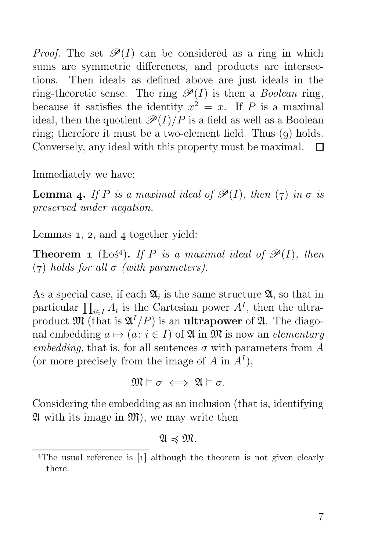*Proof.* The set  $\mathscr{P}(I)$  can be considered as a ring in which sums are symmetric differences, and products are intersections. Then ideals as defined above are just ideals in the ring-theoretic sense. The ring  $\mathscr{P}(I)$  is then a *Boolean* ring, because it satisfies the identity  $x^2 = x$ . If P is a maximal ideal, then the quotient  $\mathscr{P}(I)/P$  is a field as well as a Boolean ring; therefore it must be a two-element field. Thus  $(q)$  holds. Conversely, any ideal with this property must be maximal.  $\Box$ 

Immediately we have:

**Lemma 4.** If P is a maximal ideal of  $\mathscr{P}(I)$ , then (7) in  $\sigma$  is preserved under negation.

Lemmas  $1, 2$ , and  $4$  together yield:

**Theorem 1** (Łoś<sup>4</sup>). If P is a maximal ideal of  $\mathcal{P}(I)$ , then (7) holds for all  $\sigma$  (with parameters).

As a special case, if each  $\mathfrak{A}_i$  is the same structure  $\mathfrak{A}$ , so that in particular  $\prod_{i\in I} A_i$  is the Cartesian power  $A<sup>I</sup>$ , then the ultraproduct  $\mathfrak{M}$  (that is  $\mathfrak{A}^{I}/P$ ) is an **ultrapower** of  $\mathfrak{A}$ . The diagonal embedding  $a \mapsto (a : i \in I)$  of  $\mathfrak{A}$  in  $\mathfrak{M}$  is now an *elementary* embedding, that is, for all sentences  $\sigma$  with parameters from A (or more precisely from the image of  $A$  in  $A<sup>I</sup>$ ),

$$
\mathfrak{M}\vDash\sigma\iff\mathfrak{A}\vDash\sigma.
$$

Considering the embedding as an inclusion (that is, identifying  $\mathfrak A$  with its image in  $\mathfrak M$ , we may write then

#### $\mathfrak{A} \preccurlyeq \mathfrak{M}$ .

<sup>&</sup>lt;sup>4</sup>The usual reference is  $\lceil 1 \rceil$  although the theorem is not given clearly there.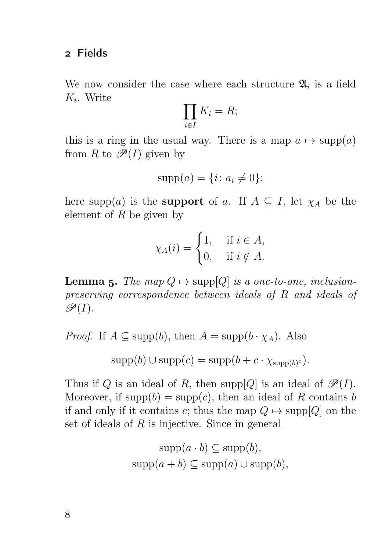#### Fields

We now consider the case where each structure  $\mathfrak{A}_i$  is a field  $K_i$ . Write

$$
\prod_{i\in I}K_i=R;
$$

this is a ring in the usual way. There is a map  $a \mapsto \text{supp}(a)$ from R to  $\mathscr{P}(I)$  given by

$$
supp(a) = \{i \colon a_i \neq 0\};
$$

here supp(a) is the **support** of a. If  $A \subseteq I$ , let  $\chi_A$  be the element of  $R$  be given by

$$
\chi_A(i) = \begin{cases} 1, & \text{if } i \in A, \\ 0, & \text{if } i \notin A. \end{cases}
$$

**Lemma 5.** The map  $Q \mapsto \text{supp}[Q]$  is a one-to-one, inclusionpreserving correspondence between ideals of R and ideals of  $\mathscr{P}(I)$ .

*Proof.* If  $A \subseteq \text{supp}(b)$ , then  $A = \text{supp}(b \cdot \chi_A)$ . Also

$$
supp(b) \cup supp(c) = supp(b + c \cdot \chi_{supp(b)^c}).
$$

Thus if Q is an ideal of R, then supp $[Q]$  is an ideal of  $\mathscr{P}(I)$ . Moreover, if  $\text{supp}(b) = \text{supp}(c)$ , then an ideal of R contains b if and only if it contains c; thus the map  $Q \mapsto \text{supp}[Q]$  on the set of ideals of  $R$  is injective. Since in general

$$
supp(a \cdot b) \subseteq supp(b),
$$
  

$$
supp(a+b) \subseteq supp(a) \cup supp(b),
$$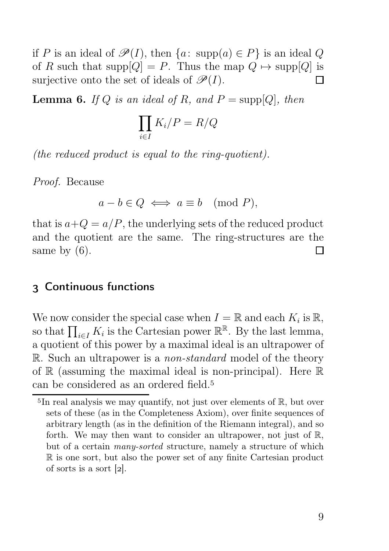if P is an ideal of  $\mathscr{P}(I)$ , then  $\{a: \text{supp}(a) \in P\}$  is an ideal Q of R such that supp $[Q] = P$ . Thus the map  $Q \mapsto \text{supp}[Q]$  is surjective onto the set of ideals of  $\mathscr{P}(I)$ . П

**Lemma 6.** If Q is an ideal of R, and  $P = \text{supp}[Q]$ , then

$$
\prod_{i \in I} K_i/P = R/Q
$$

(the reduced product is equal to the ring-quotient).

Proof. Because

$$
a - b \in Q \iff a \equiv b \pmod{P},
$$

that is  $a+Q = a/P$ , the underlying sets of the reduced product and the quotient are the same. The ring-structures are the same by  $(6)$ . П

### Continuous functions

We now consider the special case when  $I = \mathbb{R}$  and each  $K_i$  is  $\mathbb{R}$ , so that  $\prod_{i\in I} K_i$  is the Cartesian power  $\mathbb{R}^{\mathbb{R}}$ . By the last lemma, a quotient of this power by a maximal ideal is an ultrapower of R. Such an ultrapower is a *non-standard* model of the theory of  $\mathbb R$  (assuming the maximal ideal is non-principal). Here  $\mathbb R$ can be considered as an ordered field.

 $5\text{In real analysis we may quantify, not just over elements of } \mathbb{R}$ , but over sets of these (as in the Completeness Axiom), over finite sequences of arbitrary length (as in the definition of the Riemann integral), and so forth. We may then want to consider an ultrapower, not just of R, but of a certain many-sorted structure, namely a structure of which R is one sort, but also the power set of any finite Cartesian product of sorts is a sort  $[2]$ .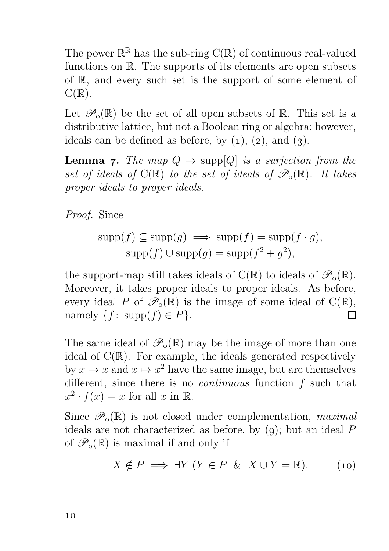The power  $\mathbb{R}^{\mathbb{R}}$  has the sub-ring  $C(\mathbb{R})$  of continuous real-valued functions on R. The supports of its elements are open subsets of R, and every such set is the support of some element of  $C(\mathbb{R})$ .

Let  $\mathscr{P}_{0}(\mathbb{R})$  be the set of all open subsets of  $\mathbb{R}$ . This set is a distributive lattice, but not a Boolean ring or algebra; however, ideals can be defined as before, by  $(1)$ ,  $(2)$ , and  $(3)$ .

**Lemma 7.** The map  $Q \mapsto \text{supp}[Q]$  is a surjection from the set of ideals of  $C(\mathbb{R})$  to the set of ideals of  $\mathscr{P}_o(\mathbb{R})$ . It takes proper ideals to proper ideals.

Proof. Since

$$
supp(f) \subseteq supp(g) \implies supp(f) = supp(f \cdot g),
$$
  

$$
supp(f) \cup supp(g) = supp(f^2 + g^2),
$$

the support-map still takes ideals of  $C(\mathbb{R})$  to ideals of  $\mathscr{P}_0(\mathbb{R})$ . Moreover, it takes proper ideals to proper ideals. As before, every ideal P of  $\mathscr{P}_{o}(\mathbb{R})$  is the image of some ideal of  $C(\mathbb{R})$ , namely  $\{f: \text{supp}(f) \in P\}.$ П

The same ideal of  $\mathscr{P}_{0}(\mathbb{R})$  may be the image of more than one ideal of  $C(\mathbb{R})$ . For example, the ideals generated respectively by  $x \mapsto x$  and  $x \mapsto x^2$  have the same image, but are themselves different, since there is no *continuous* function  $f$  such that  $x^2 \cdot f(x) = x$  for all x in R.

Since  $\mathscr{P}_o(\mathbb{R})$  is not closed under complementation, maximal ideals are not characterized as before, by  $(q)$ ; but an ideal  $P$ of  $\mathscr{P}_{0}(\mathbb{R})$  is maximal if and only if

$$
X \notin P \implies \exists Y \ (Y \in P \ \& \ X \cup Y = \mathbb{R}). \tag{10}
$$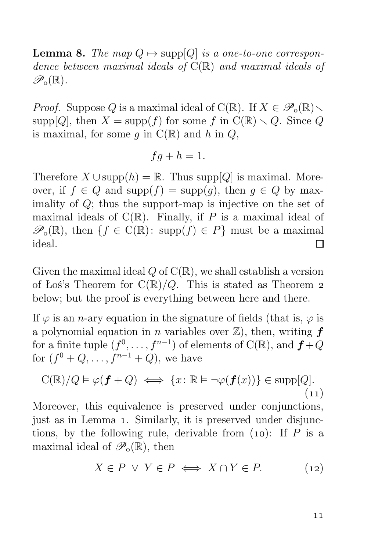**Lemma 8.** The map  $Q \mapsto \text{supp}[Q]$  is a one-to-one correspondence between maximal ideals of  $C(\mathbb{R})$  and maximal ideals of  $\mathscr{P}_o(\mathbb{R})$ .

*Proof.* Suppose Q is a maximal ideal of C(R). If  $X \in \mathscr{P}_o(\mathbb{R})$ . supp[Q], then  $X = \text{supp}(f)$  for some f in  $C(\mathbb{R}) \setminus Q$ . Since Q is maximal, for some q in  $C(\mathbb{R})$  and h in  $Q$ ,

$$
fg + h = 1.
$$

Therefore  $X \cup \text{supp}(h) = \mathbb{R}$ . Thus supp $[Q]$  is maximal. Moreover, if  $f \in Q$  and  $\text{supp}(f) = \text{supp}(q)$ , then  $q \in Q$  by maximality of Q; thus the support-map is injective on the set of maximal ideals of  $C(\mathbb{R})$ . Finally, if P is a maximal ideal of  $\mathscr{P}_{0}(\mathbb{R})$ , then  $\{f \in C(\mathbb{R}) : \text{supp}(f) \in P\}$  must be a maximal ideal. П

Given the maximal ideal  $Q$  of  $C(\mathbb{R})$ , we shall establish a version of Łoś's Theorem for  $C(\mathbb{R})/Q$ . This is stated as Theorem 2 below; but the proof is everything between here and there.

If  $\varphi$  is an *n*-ary equation in the signature of fields (that is,  $\varphi$  is a polynomial equation in *n* variables over  $\mathbb{Z}$ , then, writing  $f$ for a finite tuple  $(f^0, \ldots, f^{n-1})$  of elements of  $C(\mathbb{R})$ , and  $f + Q$ for  $(f^{0} + Q, ..., f^{n-1} + Q)$ , we have

$$
C(\mathbb{R})/Q \models \varphi(\boldsymbol{f} + Q) \iff \{x \colon \mathbb{R} \models \neg \varphi(\boldsymbol{f}(x))\} \in \text{supp}[Q].
$$
\n(11)

Moreover, this equivalence is preserved under conjunctions, just as in Lemma 1. Similarly, it is preserved under disjunctions, by the following rule, derivable from  $(10)$ : If P is a maximal ideal of  $\mathscr{P}_{o}(\mathbb{R})$ , then

$$
X \in P \lor Y \in P \iff X \cap Y \in P. \tag{12}
$$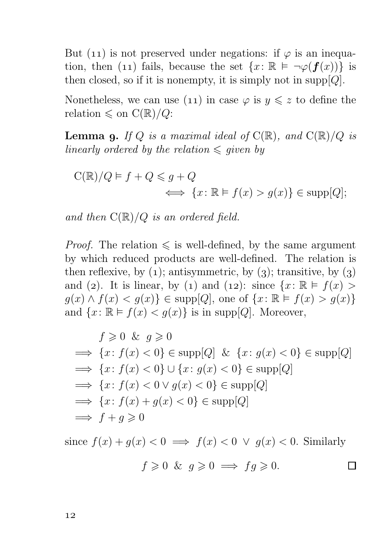But (11) is not preserved under negations: if  $\varphi$  is an inequation, then (11) fails, because the set  $\{x: \mathbb{R} \models \neg \varphi(\bm{f}(x))\}$  is then closed, so if it is nonempty, it is simply not in supp $[Q]$ .

Nonetheless, we can use (11) in case  $\varphi$  is  $y \leq z$  to define the relation  $\leq$  on  $C(\mathbb{R})/Q$ :

**Lemma 9.** If Q is a maximal ideal of  $C(\mathbb{R})$ , and  $C(\mathbb{R})/Q$  is linearly ordered by the relation  $\leq$  given by

$$
C(\mathbb{R})/Q \models f + Q \leq g + Q
$$
  

$$
\iff \{x \colon \mathbb{R} \models f(x) > g(x)\} \in \text{supp}[Q];
$$

and then  $C(\mathbb{R})/Q$  is an ordered field.

*Proof.* The relation  $\leq$  is well-defined, by the same argument by which reduced products are well-defined. The relation is then reflexive, by  $(1)$ ; antisymmetric, by  $(3)$ ; transitive, by  $(3)$ and (2). It is linear, by (1) and (12): since  $\{x: \mathbb{R} \models f(x) >$  $g(x) \wedge f(x) < g(x)$   $\in$  supp[*Q*], one of  $\{x: \mathbb{R} \models f(x) > g(x)\}$ and  $\{x: \mathbb{R} \models f(x) < g(x)\}\$ is in supp[Q]. Moreover,

$$
f \ge 0 \& g \ge 0
$$
  
\n
$$
\implies \{x : f(x) < 0\} \in \text{supp}[Q] \& \{x : g(x) < 0\} \in \text{supp}[Q]
$$
  
\n
$$
\implies \{x : f(x) < 0\} \cup \{x : g(x) < 0\} \in \text{supp}[Q]
$$
  
\n
$$
\implies \{x : f(x) < 0 \lor g(x) < 0\} \in \text{supp}[Q]
$$
  
\n
$$
\implies \{x : f(x) + g(x) < 0\} \in \text{supp}[Q]
$$
  
\n
$$
\implies f + g \ge 0
$$

since  $f(x) + q(x) < 0 \implies f(x) < 0 \lor q(x) < 0$ . Similarly  $f \geq 0$  &  $q \geq 0 \implies fq \geq 0$ . Π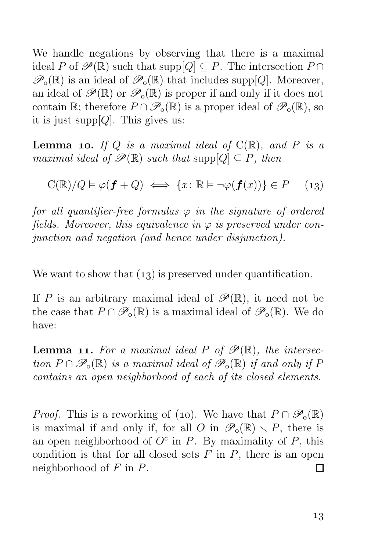We handle negations by observing that there is a maximal ideal P of  $\mathscr{P}(\mathbb{R})$  such that supp $[Q] \subset P$ . The intersection  $P \cap$  $\mathscr{P}_{0}(\mathbb{R})$  is an ideal of  $\mathscr{P}_{0}(\mathbb{R})$  that includes supp[Q]. Moreover, an ideal of  $\mathscr{P}(\mathbb{R})$  or  $\mathscr{P}_o(\mathbb{R})$  is proper if and only if it does not contain R; therefore  $P \cap \mathscr{P}_o(\mathbb{R})$  is a proper ideal of  $\mathscr{P}_o(\mathbb{R})$ , so it is just supp $[Q]$ . This gives us:

**Lemma 10.** If Q is a maximal ideal of  $C(\mathbb{R})$ , and P is a maximal ideal of  $\mathscr{P}(\mathbb{R})$  such that supp $[Q] \subset P$ , then

$$
C(\mathbb{R})/Q \vDash \varphi(\mathbf{f} + Q) \iff \{x \colon \mathbb{R} \vDash \neg \varphi(\mathbf{f}(x))\} \in P \quad (13)
$$

for all quantifier-free formulas  $\varphi$  in the signature of ordered fields. Moreover, this equivalence in  $\varphi$  is preserved under conjunction and negation (and hence under disjunction).

We want to show that  $(1, 3)$  is preserved under quantification.

If P is an arbitrary maximal ideal of  $\mathscr{P}(\mathbb{R})$ , it need not be the case that  $P \cap \mathscr{P}_{o}(\mathbb{R})$  is a maximal ideal of  $\mathscr{P}_{o}(\mathbb{R})$ . We do have:

**Lemma 11.** For a maximal ideal P of  $\mathcal{P}(\mathbb{R})$ , the intersection  $P \cap \mathscr{P}_o(\mathbb{R})$  is a maximal ideal of  $\mathscr{P}_o(\mathbb{R})$  if and only if P contains an open neighborhood of each of its closed elements.

*Proof.* This is a reworking of (10). We have that  $P \cap \mathcal{P}_o(\mathbb{R})$ is maximal if and only if, for all O in  $\mathscr{P}_0(\mathbb{R}) \setminus P$ , there is an open neighborhood of  $O^c$  in P. By maximality of P, this condition is that for all closed sets  $F$  in  $P$ , there is an open neighborhood of  $F$  in  $P$ .  $\Box$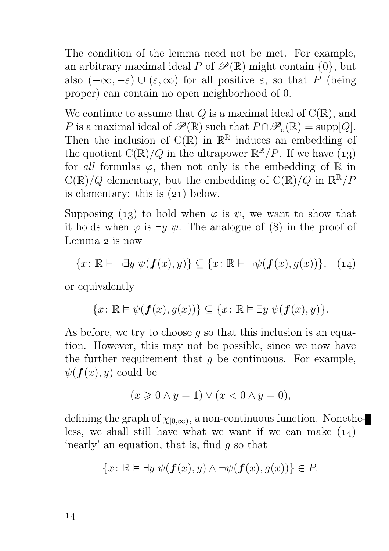The condition of the lemma need not be met. For example, an arbitrary maximal ideal P of  $\mathscr{P}(\mathbb{R})$  might contain  $\{0\}$ , but also  $(-\infty, -\varepsilon) \cup (\varepsilon, \infty)$  for all positive  $\varepsilon$ , so that P (being proper) can contain no open neighborhood of 0.

We continue to assume that  $Q$  is a maximal ideal of  $C(\mathbb{R})$ , and P is a maximal ideal of  $\mathscr{P}(\mathbb{R})$  such that  $P \cap \mathscr{P}_{o}(\mathbb{R}) = \text{supp}[Q].$ Then the inclusion of  $C(\mathbb{R})$  in  $\mathbb{R}^{\mathbb{R}}$  induces an embedding of the quotient  $C(\mathbb{R})/Q$  in the ultrapower  $\mathbb{R}^{\mathbb{R}}/P$ . If we have  $(13)$ for all formulas  $\varphi$ , then not only is the embedding of R in  $C(\mathbb{R})/Q$  elementary, but the embedding of  $C(\mathbb{R})/Q$  in  $\mathbb{R}^{\mathbb{R}}/P$ is elementary: this is  $(21)$  below.

Supposing (13) to hold when  $\varphi$  is  $\psi$ , we want to show that it holds when  $\varphi$  is  $\exists y \psi$ . The analogue of (8) in the proof of Lemma  $2$  is now

$$
\{x \colon \mathbb{R} \models \neg \exists y \ \psi(\bm{f}(x), y)\} \subseteq \{x \colon \mathbb{R} \models \neg \psi(\bm{f}(x), g(x))\}, \quad (14)
$$

or equivalently

$$
\{x\colon\mathbb{R}\vDash\psi(\boldsymbol{f}(x),g(x))\}\subseteq\{x\colon\mathbb{R}\vDash\exists y\ \psi(\boldsymbol{f}(x),y)\}.
$$

As before, we try to choose q so that this inclusion is an equation. However, this may not be possible, since we now have the further requirement that  $q$  be continuous. For example,  $\psi(f(x), y)$  could be

$$
(x \geqslant 0 \land y = 1) \lor (x < 0 \land y = 0),
$$

defining the graph of  $\chi_{[0,\infty)}$ , a non-continuous function. Nonetheless, we shall still have what we want if we can make  $(14)$ 'nearly' an equation, that is, find g so that

$$
\{x \colon \mathbb{R} \vDash \exists y \ \psi(\bm{f}(x), y) \land \neg \psi(\bm{f}(x), g(x))\} \in P.
$$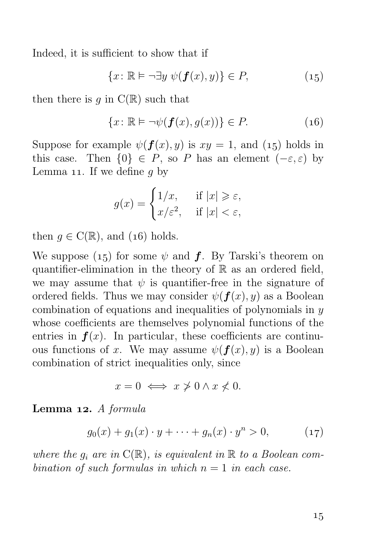Indeed, it is sufficient to show that if

$$
\{x \colon \mathbb{R} \vDash \neg \exists y \ \psi(\bm{f}(x), y)\} \in P,\tag{15}
$$

then there is g in  $C(\mathbb{R})$  such that

$$
\{x \colon \mathbb{R} \vDash \neg \psi(\bm{f}(x), g(x))\} \in P. \tag{16}
$$

Suppose for example  $\psi(f(x), y)$  is  $xy = 1$ , and (15) holds in this case. Then  $\{0\} \in P$ , so P has an element  $(-\varepsilon, \varepsilon)$  by Lemma 11. If we define  $q$  by

$$
g(x) = \begin{cases} 1/x, & \text{if } |x| \geqslant \varepsilon, \\ x/\varepsilon^2, & \text{if } |x| < \varepsilon, \end{cases}
$$

then  $q \in C(\mathbb{R})$ , and (16) holds.

We suppose (15) for some  $\psi$  and  $f$ . By Tarski's theorem on quantifier-elimination in the theory of  $\mathbb R$  as an ordered field, we may assume that  $\psi$  is quantifier-free in the signature of ordered fields. Thus we may consider  $\psi(f(x), y)$  as a Boolean combination of equations and inequalities of polynomials in  $y$ whose coefficients are themselves polynomial functions of the entries in  $f(x)$ . In particular, these coefficients are continuous functions of x. We may assume  $\psi(f(x), y)$  is a Boolean combination of strict inequalities only, since

$$
x = 0 \iff x \ngeq 0 \land x \nless 0.
$$

Lemma 12.  $A$  formula

$$
g_0(x) + g_1(x) \cdot y + \dots + g_n(x) \cdot y^n > 0, \qquad (17)
$$

where the  $q_i$  are in  $C(\mathbb{R})$ , is equivalent in  $\mathbb R$  to a Boolean combination of such formulas in which  $n = 1$  in each case.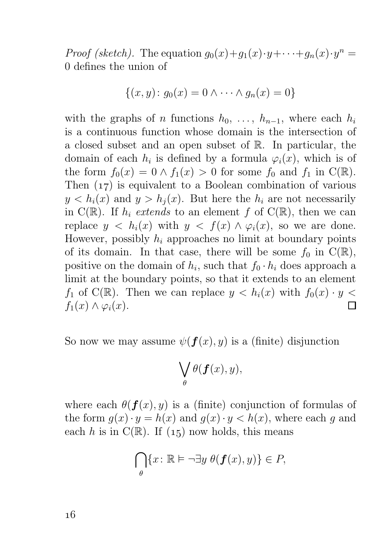*Proof (sketch)*. The equation  $g_0(x)+g_1(x)\cdot y+\cdots+g_n(x)\cdot y^n =$ 0 defines the union of

$$
\{(x, y) : g_0(x) = 0 \land \dots \land g_n(x) = 0\}
$$

with the graphs of n functions  $h_0, \ldots, h_{n-1}$ , where each  $h_i$ is a continuous function whose domain is the intersection of a closed subset and an open subset of R. In particular, the domain of each  $h_i$  is defined by a formula  $\varphi_i(x)$ , which is of the form  $f_0(x) = 0 \wedge f_1(x) > 0$  for some  $f_0$  and  $f_1$  in  $C(\mathbb{R})$ . Then  $(17)$  is equivalent to a Boolean combination of various  $y < h_i(x)$  and  $y > h_i(x)$ . But here the  $h_i$  are not necessarily in  $C(\mathbb{R})$ . If  $h_i$  extends to an element f of  $C(\mathbb{R})$ , then we can replace  $y \leq h_i(x)$  with  $y \leq f(x) \wedge \varphi_i(x)$ , so we are done. However, possibly  $h_i$  approaches no limit at boundary points of its domain. In that case, there will be some  $f_0$  in  $C(\mathbb{R})$ , positive on the domain of  $h_i$ , such that  $f_0 \cdot h_i$  does approach a limit at the boundary points, so that it extends to an element  $f_1$  of C(R). Then we can replace  $y < h_i(x)$  with  $f_0(x) \cdot y <$  $f_1(x) \wedge \varphi_i(x)$ .  $\Box$ 

So now we may assume  $\psi(f(x), y)$  is a (finite) disjunction

$$
\bigvee_{\theta} \theta(\bm{f}(x), y),
$$

where each  $\theta(\mathbf{f}(x), y)$  is a (finite) conjunction of formulas of the form  $g(x) \cdot y = h(x)$  and  $g(x) \cdot y < h(x)$ , where each g and each h is in  $C(\mathbb{R})$ . If (15) now holds, this means

$$
\bigcap_{\theta} \{x \colon \mathbb{R} \vDash \neg \exists y \ \theta(\bm{f}(x), y)\} \in P,
$$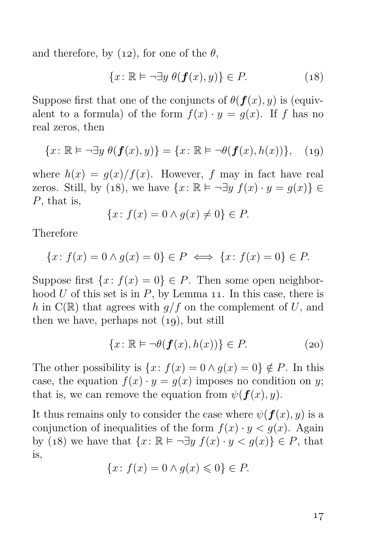and therefore, by (12), for one of the  $\theta$ ,

$$
\{x \colon \mathbb{R} \vDash \neg \exists y \ \theta(\mathbf{f}(x), y)\} \in P. \tag{18}
$$

Suppose first that one of the conjuncts of  $\theta(\mathbf{f}(x), y)$  is (equivalent to a formula) of the form  $f(x) \cdot y = g(x)$ . If f has no real zeros, then

$$
\{x \colon \mathbb{R} \models \neg \exists y \ \theta(\bm{f}(x), y)\} = \{x \colon \mathbb{R} \models \neg \theta(\bm{f}(x), h(x))\}, \quad (19)
$$

where  $h(x) = q(x)/f(x)$ . However, f may in fact have real zeros. Still, by (18), we have  $\{x: \mathbb{R} \models \neg \exists y \ f(x) \cdot y = q(x)\} \in$ P, that is,

$$
\{x \colon f(x) = 0 \land g(x) \neq 0\} \in P.
$$

Therefore

$$
\{x \colon f(x) = 0 \land g(x) = 0\} \in P \iff \{x \colon f(x) = 0\} \in P.
$$

Suppose first  $\{x: f(x) = 0\} \in P$ . Then some open neighborhood  $U$  of this set is in  $P$ , by Lemma 11. In this case, there is h in  $C(\mathbb{R})$  that agrees with  $q/f$  on the complement of U, and then we have, perhaps not  $(19)$ , but still

$$
\{x \colon \mathbb{R} \vDash \neg \theta(\mathbf{f}(x), h(x))\} \in P. \tag{20}
$$

The other possibility is  $\{x: f(x) = 0 \land g(x) = 0\} \notin P$ . In this case, the equation  $f(x) \cdot y = g(x)$  imposes no condition on y; that is, we can remove the equation from  $\psi(f(x), y)$ .

It thus remains only to consider the case where  $\psi(f(x), y)$  is a conjunction of inequalities of the form  $f(x) \cdot y < g(x)$ . Again by (18) we have that  $\{x: \mathbb{R} \models \neg \exists y \ f(x) \cdot y < g(x)\} \in P$ , that is,

$$
\{x \colon f(x) = 0 \land g(x) \leq 0\} \in P.
$$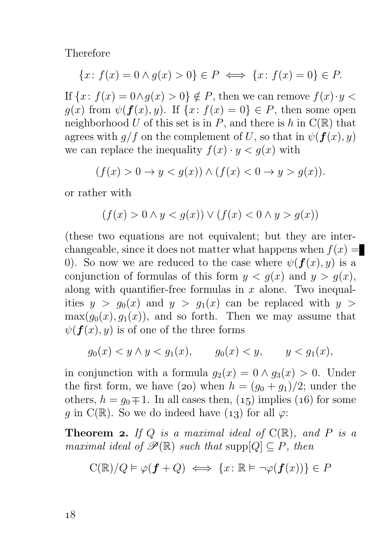Therefore

$$
\{x \colon f(x) = 0 \land g(x) > 0\} \in P \iff \{x \colon f(x) = 0\} \in P.
$$

If  $\{x: f(x) = 0 \land q(x) > 0\} \notin P$ , then we can remove  $f(x) \cdot y <$  $g(x)$  from  $\psi(f(x), y)$ . If  $\{x: f(x) = 0\} \in P$ , then some open neighborhood U of this set is in P, and there is h in  $C(\mathbb{R})$  that agrees with  $g/f$  on the complement of U, so that in  $\psi(f(x), y)$ we can replace the inequality  $f(x) \cdot y < q(x)$  with

$$
(f(x) > 0 \to y < g(x)) \land (f(x) < 0 \to y > g(x)).
$$

or rather with

$$
(f(x) > 0 \land y < g(x)) \lor (f(x) < 0 \land y > g(x))
$$

(these two equations are not equivalent; but they are interchangeable, since it does not matter what happens when  $f(x) =$ 0). So now we are reduced to the case where  $\psi(f(x), y)$  is a conjunction of formulas of this form  $y < g(x)$  and  $y > g(x)$ , along with quantifier-free formulas in  $x$  alone. Two inequalities  $y > g_0(x)$  and  $y > g_1(x)$  can be replaced with  $y >$  $\max(g_0(x), g_1(x))$ , and so forth. Then we may assume that  $\psi(f(x), y)$  is of one of the three forms

$$
g_0(x) < y \wedge y < g_1(x)
$$
,  $g_0(x) < y$ ,  $y < g_1(x)$ ,

in conjunction with a formula  $q_2(x) = 0 \wedge q_3(x) > 0$ . Under the first form, we have (20) when  $h = (g_0 + g_1)/2$ ; under the others,  $h = q_0 \mp 1$ . In all cases then, (15) implies (16) for some g in C(R). So we do indeed have (13) for all  $\varphi$ :

**Theorem 2.** If Q is a maximal ideal of  $C(\mathbb{R})$ , and P is a maximal ideal of  $\mathscr{P}(\mathbb{R})$  such that supp $[Q] \subseteq P$ , then

$$
C(\mathbb{R})/Q \vDash \varphi(\mathbf{f} + Q) \iff \{x \colon \mathbb{R} \vDash \neg \varphi(\mathbf{f}(x))\} \in P
$$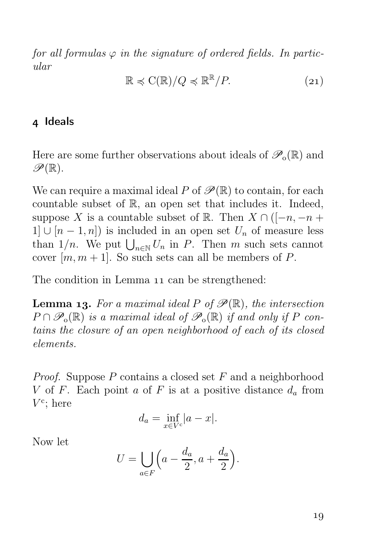for all formulas  $\varphi$  in the signature of ordered fields. In particular

$$
\mathbb{R} \preccurlyeq \mathrm{C}(\mathbb{R})/Q \preccurlyeq \mathbb{R}^{\mathbb{R}}/P. \tag{21}
$$

#### 4 Ideals

Here are some further observations about ideals of  $\mathscr{P}_{0}(\mathbb{R})$  and  $\mathscr{P}(\mathbb{R})$ .

We can require a maximal ideal P of  $\mathscr{P}(\mathbb{R})$  to contain, for each countable subset of R, an open set that includes it. Indeed, suppose X is a countable subset of R. Then  $X \cap ([-n, -n +$  $1 \cup [n-1,n]$  is included in an open set  $U_n$  of measure less than  $1/n$ . We put  $\bigcup_{n\in\mathbb{N}} U_n$  in P. Then m such sets cannot cover  $[m, m + 1]$ . So such sets can all be members of P.

The condition in Lemma 11 can be strengthened:

**Lemma 13.** For a maximal ideal P of  $\mathscr{P}(\mathbb{R})$ , the intersection  $P \cap \mathscr{P}_o(\mathbb{R})$  is a maximal ideal of  $\mathscr{P}_o(\mathbb{R})$  if and only if P contains the closure of an open neighborhood of each of its closed elements.

*Proof.* Suppose  $P$  contains a closed set  $F$  and a neighborhood V of F. Each point a of F is at a positive distance  $d_a$  from  $V^{\text{c}}$ ; here

$$
d_a = \inf_{x \in V^c} |a - x|.
$$

Now let

$$
U = \bigcup_{a \in F} \left( a - \frac{d_a}{2}, a + \frac{d_a}{2} \right).
$$